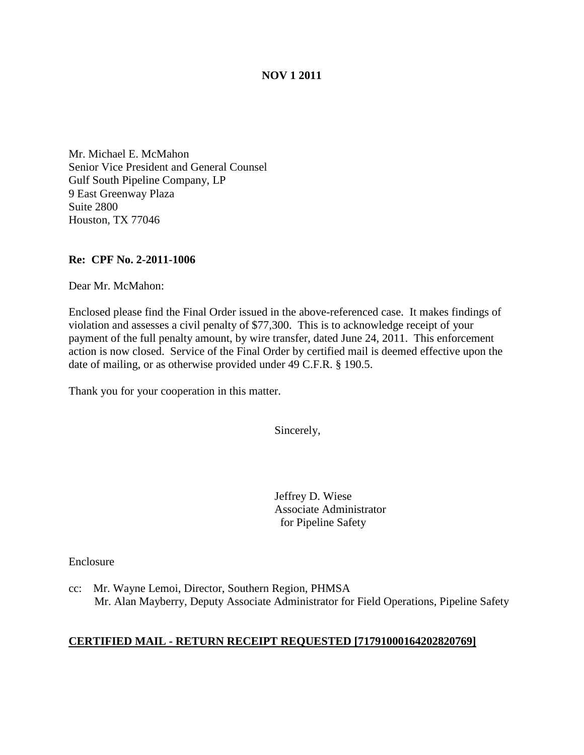## **NOV 1 2011**

Mr. Michael E. McMahon Senior Vice President and General Counsel Gulf South Pipeline Company, LP 9 East Greenway Plaza Suite 2800 Houston, TX 77046

### **Re: CPF No. 2-2011-1006**

Dear Mr. McMahon:

Enclosed please find the Final Order issued in the above-referenced case. It makes findings of violation and assesses a civil penalty of \$77,300. This is to acknowledge receipt of your payment of the full penalty amount, by wire transfer, dated June 24, 2011. This enforcement action is now closed. Service of the Final Order by certified mail is deemed effective upon the date of mailing, or as otherwise provided under 49 C.F.R. § 190.5.

Thank you for your cooperation in this matter.

Sincerely,

Jeffrey D. Wiese Associate Administrator for Pipeline Safety

Enclosure

cc: Mr. Wayne Lemoi, Director, Southern Region, PHMSA Mr. Alan Mayberry, Deputy Associate Administrator for Field Operations, Pipeline Safety

### **CERTIFIED MAIL - RETURN RECEIPT REQUESTED [71791000164202820769]**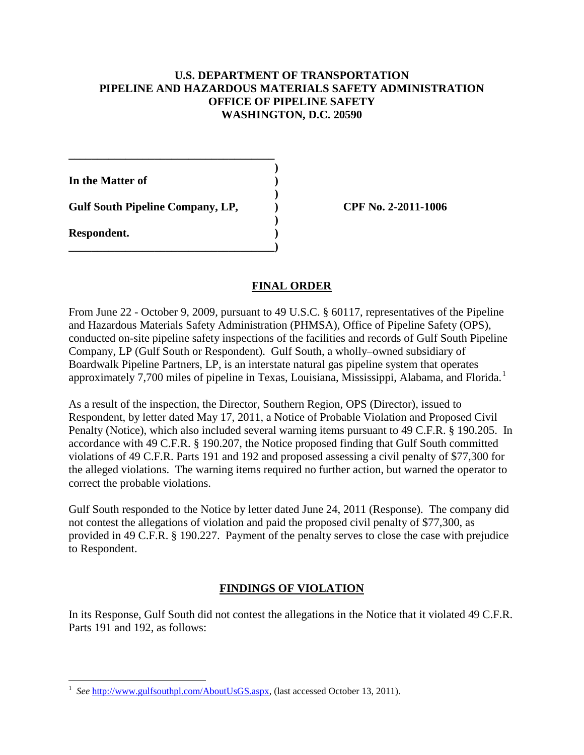### **U.S. DEPARTMENT OF TRANSPORTATION PIPELINE AND HAZARDOUS MATERIALS SAFETY ADMINISTRATION OFFICE OF PIPELINE SAFETY WASHINGTON, D.C. 20590**

**)**

**)**

**)**

**In the Matter of )**

**Gulf South Pipeline Company, LP, ) CPF No. 2-2011-1006**

**\_\_\_\_\_\_\_\_\_\_\_\_\_\_\_\_\_\_\_\_\_\_\_\_\_\_\_\_\_\_\_\_\_\_\_\_**

**\_\_\_\_\_\_\_\_\_\_\_\_\_\_\_\_\_\_\_\_\_\_\_\_\_\_\_\_\_\_\_\_\_\_\_\_)**

**Respondent. )**

## **FINAL ORDER**

From June 22 - October 9, 2009, pursuant to 49 U.S.C. § 60117, representatives of the Pipeline and Hazardous Materials Safety Administration (PHMSA), Office of Pipeline Safety (OPS), conducted on-site pipeline safety inspections of the facilities and records of Gulf South Pipeline Company, LP (Gulf South or Respondent). Gulf South, a wholly–owned subsidiary of Boardwalk Pipeline Partners, LP, is an interstate natural gas pipeline system that operates approximately 7,700 miles of pipeline in Texas, Louisiana, Mississippi, Alabama, and Florida.<sup>[1](#page-1-0)</sup>

As a result of the inspection, the Director, Southern Region, OPS (Director), issued to Respondent, by letter dated May 17, 2011, a Notice of Probable Violation and Proposed Civil Penalty (Notice), which also included several warning items pursuant to 49 C.F.R. § 190.205. In accordance with 49 C.F.R. § 190.207, the Notice proposed finding that Gulf South committed violations of 49 C.F.R. Parts 191 and 192 and proposed assessing a civil penalty of \$77,300 for the alleged violations. The warning items required no further action, but warned the operator to correct the probable violations.

Gulf South responded to the Notice by letter dated June 24, 2011 (Response). The company did not contest the allegations of violation and paid the proposed civil penalty of \$77,300, as provided in 49 C.F.R. § 190.227. Payment of the penalty serves to close the case with prejudice to Respondent.

## **FINDINGS OF VIOLATION**

In its Response, Gulf South did not contest the allegations in the Notice that it violated 49 C.F.R. Parts 191 and 192, as follows:

<span id="page-1-0"></span> $\frac{1}{1}$  *See* [http://www.gulfsouthpl.com/AboutUsGS.aspx,](http://www.gulfsouthpl.com/AboutUsGS.aspx) (last accessed October 13, 2011).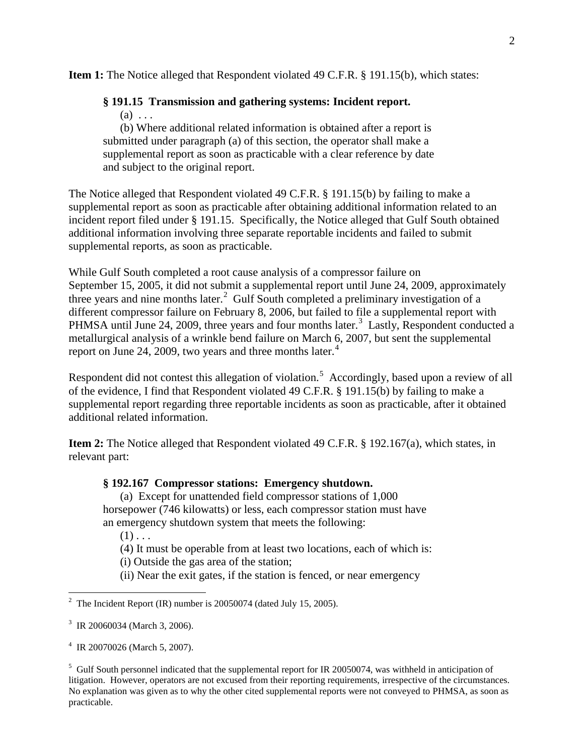**Item 1:** The Notice alleged that Respondent violated 49 C.F.R. § 191.15(b), which states:

# **§ 191.15 Transmission and gathering systems: Incident report.**

 $(a) \ldots$ 

(b) Where additional related information is obtained after a report is submitted under paragraph (a) of this section, the operator shall make a supplemental report as soon as practicable with a clear reference by date and subject to the original report.

The Notice alleged that Respondent violated 49 C.F.R. § 191.15(b) by failing to make a supplemental report as soon as practicable after obtaining additional information related to an incident report filed under § 191.15. Specifically, the Notice alleged that Gulf South obtained additional information involving three separate reportable incidents and failed to submit supplemental reports, as soon as practicable.

While Gulf South completed a root cause analysis of a compressor failure on September 15, 2005, it did not submit a supplemental report until June 24, 2009, approximately three years and nine months later.<sup>[2](#page-2-0)</sup> Gulf South completed a preliminary investigation of a different compressor failure on February 8, 2006, but failed to file a supplemental report with PHMSA until June 24, 2009, three years and four months later.<sup>[3](#page-2-1)</sup> Lastly, Respondent conducted a metallurgical analysis of a wrinkle bend failure on March 6, 2007, but sent the supplemental report on June 2[4](#page-2-2), 2009, two years and three months later.<sup>4</sup>

Respondent did not contest this allegation of violation.<sup>[5](#page-2-3)</sup> Accordingly, based upon a review of all of the evidence, I find that Respondent violated 49 C.F.R. § 191.15(b) by failing to make a supplemental report regarding three reportable incidents as soon as practicable, after it obtained additional related information.

**Item 2:** The Notice alleged that Respondent violated 49 C.F.R. § 192.167(a), which states, in relevant part:

## **§ 192.167 Compressor stations: Emergency shutdown.**

(a) Except for unattended field compressor stations of 1,000 horsepower (746 kilowatts) or less, each compressor station must have an emergency shutdown system that meets the following:

 $(1)$ ...

(4) It must be operable from at least two locations, each of which is:

(i) Outside the gas area of the station;

(ii) Near the exit gates, if the station is fenced, or near emergency

<span id="page-2-0"></span> $\frac{1}{2}$ <sup>2</sup> The Incident Report (IR) number is 20050074 (dated July 15, 2005).

<span id="page-2-1"></span><sup>3</sup> IR 20060034 (March 3, 2006).

<span id="page-2-2"></span><sup>4</sup> IR 20070026 (March 5, 2007).

<span id="page-2-3"></span><sup>&</sup>lt;sup>5</sup> Gulf South personnel indicated that the supplemental report for IR 20050074, was withheld in anticipation of litigation. However, operators are not excused from their reporting requirements, irrespective of the circumstances. No explanation was given as to why the other cited supplemental reports were not conveyed to PHMSA, as soon as practicable.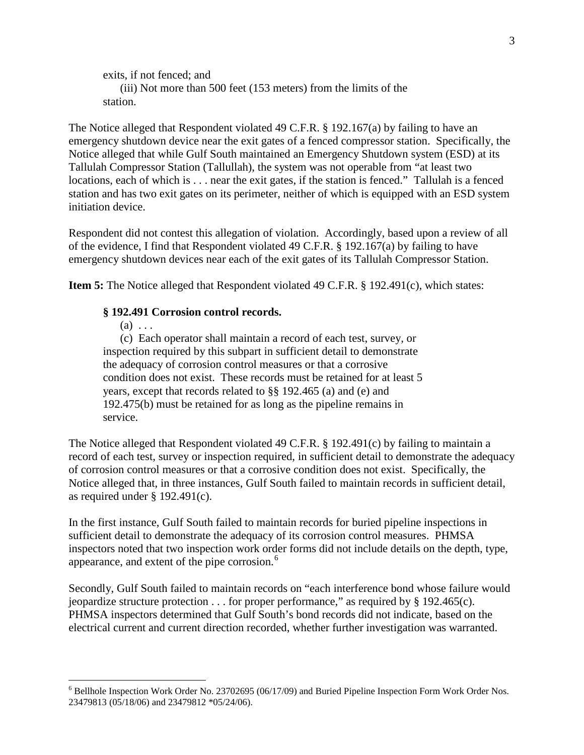```
exits, if not fenced; and
   (iii) Not more than 500 feet (153 meters) from the limits of the 
station.
```
The Notice alleged that Respondent violated 49 C.F.R. § 192.167(a) by failing to have an emergency shutdown device near the exit gates of a fenced compressor station. Specifically, the Notice alleged that while Gulf South maintained an Emergency Shutdown system (ESD) at its Tallulah Compressor Station (Tallullah), the system was not operable from "at least two locations, each of which is . . . near the exit gates, if the station is fenced." Tallulah is a fenced station and has two exit gates on its perimeter, neither of which is equipped with an ESD system initiation device.

Respondent did not contest this allegation of violation. Accordingly, based upon a review of all of the evidence, I find that Respondent violated 49 C.F.R. § 192.167(a) by failing to have emergency shutdown devices near each of the exit gates of its Tallulah Compressor Station.

**Item 5:** The Notice alleged that Respondent violated 49 C.F.R. § 192.491(c), which states:

## **§ 192.491 Corrosion control records.**

 $(a) \ldots$ 

(c) Each operator shall maintain a record of each test, survey, or inspection required by this subpart in sufficient detail to demonstrate the adequacy of corrosion control measures or that a corrosive condition does not exist. These records must be retained for at least 5 years, except that records related to §§ 192.465 (a) and (e) and 192.475(b) must be retained for as long as the pipeline remains in service.

The Notice alleged that Respondent violated 49 C.F.R. § 192.491(c) by failing to maintain a record of each test, survey or inspection required, in sufficient detail to demonstrate the adequacy of corrosion control measures or that a corrosive condition does not exist. Specifically, the Notice alleged that, in three instances, Gulf South failed to maintain records in sufficient detail, as required under § 192.491(c).

In the first instance, Gulf South failed to maintain records for buried pipeline inspections in sufficient detail to demonstrate the adequacy of its corrosion control measures. PHMSA inspectors noted that two inspection work order forms did not include details on the depth, type, appearance, and extent of the pipe corrosion. [6](#page-3-0)

Secondly, Gulf South failed to maintain records on "each interference bond whose failure would jeopardize structure protection  $\dots$  for proper performance," as required by § 192.465(c). PHMSA inspectors determined that Gulf South's bond records did not indicate, based on the electrical current and current direction recorded, whether further investigation was warranted.

<span id="page-3-0"></span> <sup>6</sup> Bellhole Inspection Work Order No. 23702695 (06/17/09) and Buried Pipeline Inspection Form Work Order Nos. 23479813 (05/18/06) and 23479812 \*05/24/06).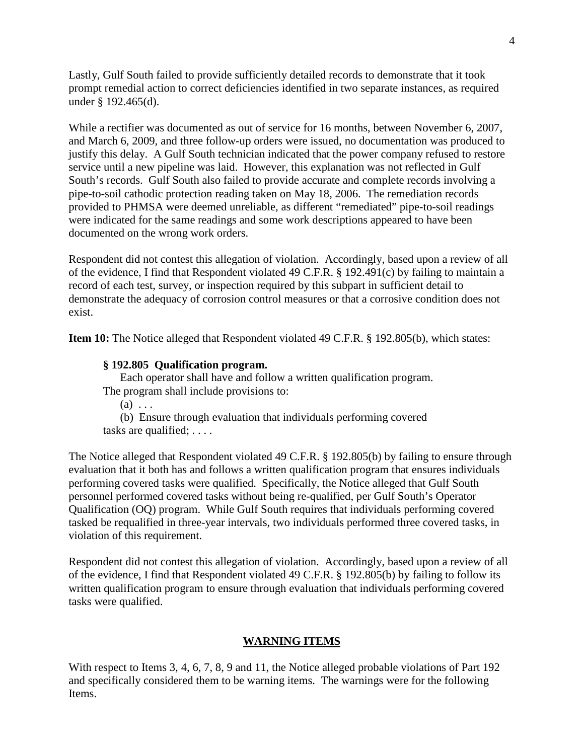Lastly, Gulf South failed to provide sufficiently detailed records to demonstrate that it took prompt remedial action to correct deficiencies identified in two separate instances, as required under § 192.465(d).

While a rectifier was documented as out of service for 16 months, between November 6, 2007, and March 6, 2009, and three follow-up orders were issued, no documentation was produced to justify this delay. A Gulf South technician indicated that the power company refused to restore service until a new pipeline was laid. However, this explanation was not reflected in Gulf South's records. Gulf South also failed to provide accurate and complete records involving a pipe-to-soil cathodic protection reading taken on May 18, 2006. The remediation records provided to PHMSA were deemed unreliable, as different "remediated" pipe-to-soil readings were indicated for the same readings and some work descriptions appeared to have been documented on the wrong work orders.

Respondent did not contest this allegation of violation. Accordingly, based upon a review of all of the evidence, I find that Respondent violated 49 C.F.R. § 192.491(c) by failing to maintain a record of each test, survey, or inspection required by this subpart in sufficient detail to demonstrate the adequacy of corrosion control measures or that a corrosive condition does not exist.

**Item 10:** The Notice alleged that Respondent violated 49 C.F.R. § 192.805(b), which states:

### **§ 192.805 Qualification program.**

Each operator shall have and follow a written qualification program. The program shall include provisions to:

 $(a) \ldots$ 

 (b) Ensure through evaluation that individuals performing covered tasks are qualified; . . . .

The Notice alleged that Respondent violated 49 C.F.R. § 192.805(b) by failing to ensure through evaluation that it both has and follows a written qualification program that ensures individuals performing covered tasks were qualified. Specifically, the Notice alleged that Gulf South personnel performed covered tasks without being re-qualified, per Gulf South's Operator Qualification (OQ) program. While Gulf South requires that individuals performing covered tasked be requalified in three-year intervals, two individuals performed three covered tasks, in violation of this requirement.

Respondent did not contest this allegation of violation. Accordingly, based upon a review of all of the evidence, I find that Respondent violated 49 C.F.R. § 192.805(b) by failing to follow its written qualification program to ensure through evaluation that individuals performing covered tasks were qualified.

#### **WARNING ITEMS**

With respect to Items 3, 4, 6, 7, 8, 9 and 11, the Notice alleged probable violations of Part 192 and specifically considered them to be warning items. The warnings were for the following Items.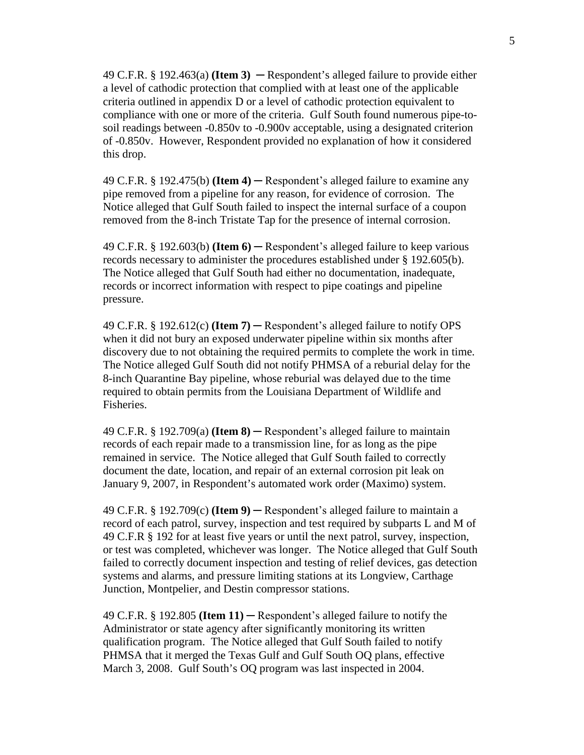49 C.F.R. § 192.463(a) **(Item 3)** ─ Respondent's alleged failure to provide either a level of cathodic protection that complied with at least one of the applicable criteria outlined in appendix D or a level of cathodic protection equivalent to compliance with one or more of the criteria. Gulf South found numerous pipe-tosoil readings between -0.850v to -0.900v acceptable, using a designated criterion of -0.850v. However, Respondent provided no explanation of how it considered this drop.

49 C.F.R. § 192.475(b) **(Item 4)** ─ Respondent's alleged failure to examine any pipe removed from a pipeline for any reason, for evidence of corrosion. The Notice alleged that Gulf South failed to inspect the internal surface of a coupon removed from the 8-inch Tristate Tap for the presence of internal corrosion.

49 C.F.R. § 192.603(b) **(Item 6)** ─ Respondent's alleged failure to keep various records necessary to administer the procedures established under § 192.605(b). The Notice alleged that Gulf South had either no documentation, inadequate, records or incorrect information with respect to pipe coatings and pipeline pressure.

49 C.F.R.  $\S$  192.612(c) **(Item 7)** — Respondent's alleged failure to notify OPS when it did not bury an exposed underwater pipeline within six months after discovery due to not obtaining the required permits to complete the work in time. The Notice alleged Gulf South did not notify PHMSA of a reburial delay for the 8-inch Quarantine Bay pipeline, whose reburial was delayed due to the time required to obtain permits from the Louisiana Department of Wildlife and Fisheries.

49 C.F.R. § 192.709(a) **(Item 8)** ─ Respondent's alleged failure to maintain records of each repair made to a transmission line, for as long as the pipe remained in service. The Notice alleged that Gulf South failed to correctly document the date, location, and repair of an external corrosion pit leak on January 9, 2007, in Respondent's automated work order (Maximo) system.

49 C.F.R. § 192.709(c) **(Item 9)** ─ Respondent's alleged failure to maintain a record of each patrol, survey, inspection and test required by subparts L and M of 49 C.F.R § 192 for at least five years or until the next patrol, survey, inspection, or test was completed, whichever was longer. The Notice alleged that Gulf South failed to correctly document inspection and testing of relief devices, gas detection systems and alarms, and pressure limiting stations at its Longview, Carthage Junction, Montpelier, and Destin compressor stations.

49 C.F.R. § 192.805 **(Item 11)** ─ Respondent's alleged failure to notify the Administrator or state agency after significantly monitoring its written qualification program. The Notice alleged that Gulf South failed to notify PHMSA that it merged the Texas Gulf and Gulf South OQ plans, effective March 3, 2008. Gulf South's OQ program was last inspected in 2004.